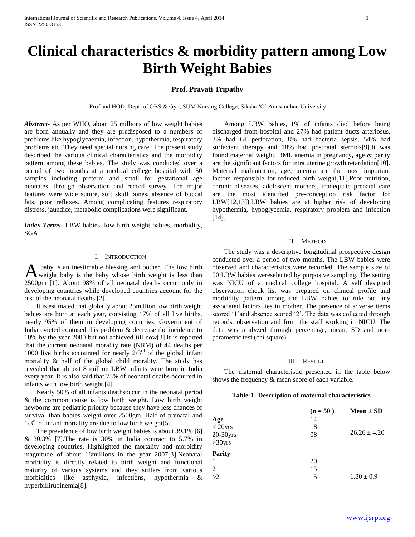# **Clinical characteristics & morbidity pattern among Low Birth Weight Babies**

# **Prof. Pravati Tripathy**

Prof and HOD, Dept. of OBS & Gyn, SUM Nursing College, Siksha 'O' Anusandhan University

*Abstract***-** As per WHO, about 25 millions of low weight babies are born annually and they are predisposed to a numbers of problems like hypoglycaemia, infection, hypothermia, respiratory problems etc. They need special nursing care. The present study described the various clinical characteristics and the morbidity pattern among these babies. The study was conducted over a period of two months at a medical college hospital with 50 samples including preterm and small for gestational age neonates, through observation and record survey. The major features were wide suture, soft skull bones, absence of buccal fats, poor reflexes. Among complicating features respiratory distress, jaundice, metabolic complications were significant.

*Index Terms*- LBW babies, low birth weight babies, morbidity, SGA

# I. INTRODUCTION

baby is an inestimable blessing and bother. The low birth A baby is an inestimable blessing and bother. The low birth<br>weight baby is the baby whose birth weight is less than 2500gm [1]. About 98% of all neonatal deaths occur only in developing countries while developed countries account for the rest of the neonatal deaths [2].

 It is estimated that globally about 25million low birth weight babies are born at each year, consisting 17% of all live births, nearly 95% of them in developing countries. Government of India evicted contused this problem & decrease the incidence to 10% by the year 2000 but not achieved till now[3].It is reported that the current neonatal morality rate (NRM) of 44 deaths per 1000 live births accounted for nearly  $2/3<sup>rd</sup>$  of the global infant mortality & half of the global child morality. The study has revealed that almost 8 million LBW infants were born in India every year. It is also said that 75% of neonatal deaths occurred in infants with low birth weight [4].

 Nearly 50% of all infants deathsoccur in the neonatal period & the common cause is low birth weight. Low birth weight newborns are pediatric priority because they have less chances of survival than babies weight over 2500gm. Half of prenatal and  $1/3^{rd}$  of infant mortality are due to low birth weight[5].

 The prevalence of low birth weight babies is about 39.1% [6] & 30.3% [7].The rate is 30% in India contract to 5.7% in developing countries. Highlighted the mortality and morbidity magnitude of about 18millions in the year 2007[3].Neonatal morbidity is directly related to birth weight and functional maturity of various systems and they suffers from various morbidities like asphyxia, infections, hypothermia & hyperbillirubinemia[8].

 Among LBW babies,11% of infants died before being discharged from hospital and 27% had patient ducts arteriosus, 3% had GI perforation, 8% had bacteria sepsis, 54% had surfactant therapy and 18% had postnatal steroids[9].It was found maternal weight, BMI, anemia in pregnancy, age & parity are the significant factors for intra uterine growth retardation[10]. Maternal malnutrition, age, anemia are the most important factors responsible for reduced birth weight[11].Poor nutrition, chronic diseases, adolescent mothers, inadequate prenatal care are the most identified pre-conception risk factor for LBW[12,13]).LBW babies are at higher risk of developing hypothermia, hypoglycemia, respiratory problem and infection [14].

## II. METHOD

 The study was a descriptive longitudinal prospective design conducted over a period of two months. The LBW babies were observed and characteristics were recorded. The sample size of 50 LBW babies wereselected by purposive sampling. The setting was NICU of a medical college hospital. A self designed observation check list was prepared on clinical profile and morbidity pattern among the LBW babies to rule out any associated factors lies in mother. The presence of adverse items scored '1'and absence scored '2'. The data was collected through records, observation and from the staff working in NICU. The data was analyzed through percentage, mean, SD and nonparametric test (chi square).

### III. RESULT

 The maternal characteristic presented in the table below shows the frequency & mean score of each variable.

# **Table-1: Description of maternal characteristics**

|               | $(n = 50)$ | $Mean \pm SD$    |
|---------------|------------|------------------|
| Age           | 14         |                  |
| $<$ 20yrs     | 18         |                  |
| 20-30yrs      | 08         | $26.26 \pm 4.20$ |
| $>30$ yrs     |            |                  |
| <b>Parity</b> |            |                  |
|               | 20         |                  |
| 2             | 15         |                  |
| >2            | 15         | $1.80 \pm 0.9$   |
|               |            |                  |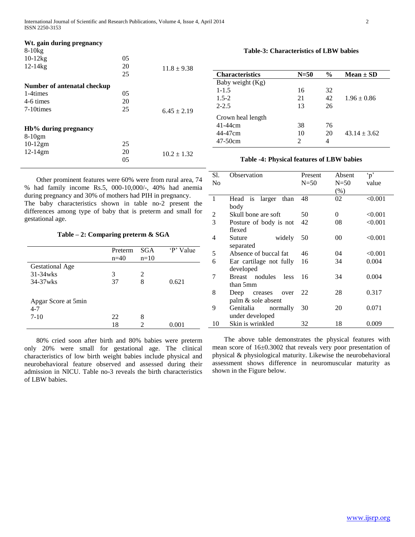## **Wt. gain during pregnancy**

| $8-10kg$                    |                |                 |
|-----------------------------|----------------|-----------------|
| $10-12kg$                   | 05             |                 |
| $12 - 14$ kg                | 20             | $11.8 \pm 9.38$ |
|                             | 25             |                 |
| Number of antenatal checkup |                |                 |
| 1-4times                    | 0 <sub>5</sub> |                 |
| 4-6 times                   | 20             |                 |
| 7-10 times                  | 25             | $6.45 \pm 2.19$ |
|                             |                |                 |
| Hb% during pregnancy        |                |                 |
| $8-10gm$                    |                |                 |
| $10-12gm$                   | 25             |                 |
| $12-14gm$                   | 20             | $10.2 \pm 1.32$ |
|                             | 05             |                 |
|                             |                |                 |

## **Table-3: Characteristics of LBW babies**

| <b>Characteristics</b> | $N = 50$ | $\frac{6}{9}$ | $Mean \pm SD$    |
|------------------------|----------|---------------|------------------|
| Baby weight (Kg)       |          |               |                  |
| $1 - 1.5$              | 16       | 32            |                  |
| $1.5 - 2$              | 21       | 42            | $1.96 \pm 0.86$  |
| $2 - 2.5$              | 13       | 26            |                  |
| Crown heal length      |          |               |                  |
| 41-44cm                | 38       | 76            |                  |
| 44-47cm                | 10       | 20            | $43.14 \pm 3.62$ |
| $47 - 50$ cm           | 2        | 4             |                  |

 Other prominent features were 60% were from rural area, 74 % had family income Rs.5, 000-10,000/-, 40% had anemia during pregnancy and 30% of mothers had PIH in pregnancy. The baby characteristics shown in table no-2 present the differences among type of baby that is preterm and small for gestational age.

# **Table – 2: Comparing preterm & SGA**

|                        | Preterm<br>$n=40$ | <b>SGA</b><br>$n=10$ | 'P' Value |
|------------------------|-------------------|----------------------|-----------|
| <b>Gestational Age</b> |                   |                      |           |
| $31 - 34$ wks          | 3                 | 2                    |           |
| 34-37 wks              | 37                | 8                    | 0.621     |
| Apgar Score at 5min    |                   |                      |           |
| $4 - 7$                |                   |                      |           |
| $7-10$                 | 22                | 8                    |           |
|                        | 18                |                      | 0.001     |

 80% cried soon after birth and 80% babies were preterm only 20% were small for gestational age. The clinical characteristics of low birth weight babies include physical and neurobehavioral feature observed and assessed during their admission in NICU. Table no-3 reveals the birth characteristics of LBW babies.

## **Table -4: Physical features of LBW babies**

| Sl.            | Observation               | Present | Absent   | $\mathbf{p}'$ |
|----------------|---------------------------|---------|----------|---------------|
| N <sub>0</sub> |                           | $N=50$  | $N = 50$ | value         |
|                |                           |         | (% )     |               |
| 1              | is larger<br>than<br>Head | 48      | 02       | < 0.001       |
|                | body                      |         |          |               |
| 2              | Skull bone are soft       | 50      | 0        | < 0.001       |
| 3              | Posture of body is not    | 42      | 08       | < 0.001       |
|                | flexed                    |         |          |               |
| 4              | widely<br>Suture          | 50      | 00       | < 0.001       |
|                | separated                 |         |          |               |
| 5              | Absence of buccal fat     | 46      | 04       | < 0.001       |
| 6              | Ear cartilage not fully   | 16      | 34       | 0.004         |
|                | developed                 |         |          |               |
| 7              | Breast nodules<br>less    | 16      | 34       | 0.004         |
|                | than 5mm                  |         |          |               |
| 8              | Deep creases over         | 22      | 28       | 0.317         |
|                | palm & sole absent        |         |          |               |
| 9              | Genitalia<br>normally     | 30      | 20       | 0.071         |
|                | under developed           |         |          |               |
| 10             | Skin is wrinkled          | 32      | 18       | 0.009         |

 The above table demonstrates the physical features with mean score of 16±0.3002 that reveals very poor presentation of physical & physiological maturity. Likewise the neurobehavioral assessment shows difference in neuromuscular maturity as shown in the Figure below.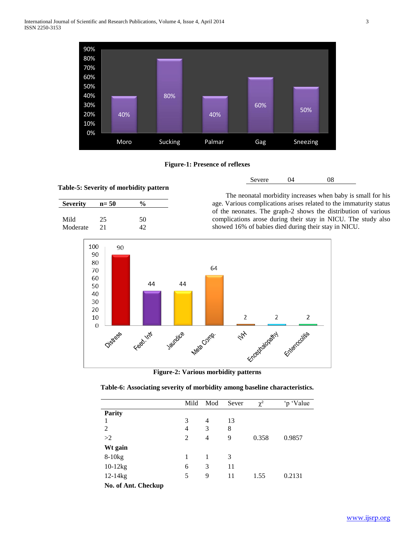



# **Table-5: Severity of morbidity pattern**

| <b>Severity</b> | $n=50$ | $\frac{0}{0}$ |  |
|-----------------|--------|---------------|--|
|                 |        |               |  |
| Mild            | 25     | 50            |  |
| Moderate        | 21     |               |  |

 The neonatal morbidity increases when baby is small for his age. Various complications arises related to the immaturity status of the neonates. The graph-2 shows the distribution of various complications arose during their stay in NICU. The study also showed 16% of babies died during their stay in NICU.

Severe 04 08



**Figure-2: Various morbidity patterns**

**Table-6: Associating severity of morbidity among baseline characteristics.**

|                     | Mild           | Mod | Sever | $\chi^2$ | 'p 'Value |
|---------------------|----------------|-----|-------|----------|-----------|
| <b>Parity</b>       |                |     |       |          |           |
| 1                   | 3              | 4   | 13    |          |           |
| $\overline{2}$      | 4              | 3   | 8     |          |           |
| >2                  | $\overline{2}$ | 4   | 9     | 0.358    | 0.9857    |
| Wt gain             |                |     |       |          |           |
| $8-10kg$            | 1              | 1   | 3     |          |           |
| $10-12kg$           | 6              | 3   | 11    |          |           |
| $12-14kg$           | 5              | 9   | 11    | 1.55     | 0.2131    |
| No. of Ant. Checkup |                |     |       |          |           |